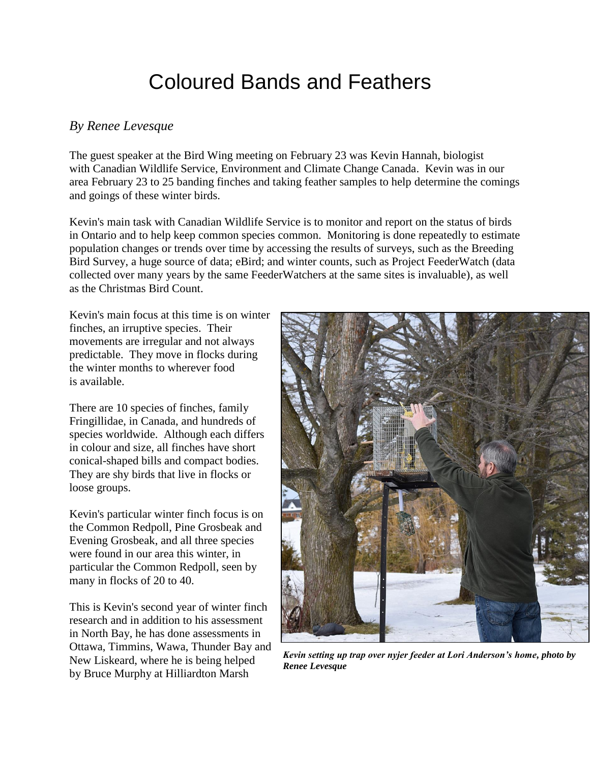## Coloured Bands and Feathers

## *By Renee Levesque*

The guest speaker at the Bird Wing meeting on February 23 was Kevin Hannah, biologist with Canadian Wildlife Service, Environment and Climate Change Canada. Kevin was in our area February 23 to 25 banding finches and taking feather samples to help determine the comings and goings of these winter birds.

Kevin's main task with Canadian Wildlife Service is to monitor and report on the status of birds in Ontario and to help keep common species common. Monitoring is done repeatedly to estimate population changes or trends over time by accessing the results of surveys, such as the Breeding Bird Survey, a huge source of data; eBird; and winter counts, such as Project FeederWatch (data collected over many years by the same FeederWatchers at the same sites is invaluable), as well as the Christmas Bird Count.

Kevin's main focus at this time is on winter finches, an irruptive species. Their movements are irregular and not always predictable. They move in flocks during the winter months to wherever food is available.

There are 10 species of finches, family Fringillidae, in Canada, and hundreds of species worldwide. Although each differs in colour and size, all finches have short conical-shaped bills and compact bodies. They are shy birds that live in flocks or loose groups.

Kevin's particular winter finch focus is on the Common Redpoll, Pine Grosbeak and Evening Grosbeak, and all three species were found in our area this winter, in particular the Common Redpoll, seen by many in flocks of 20 to 40.

This is Kevin's second year of winter finch research and in addition to his assessment in North Bay, he has done assessments in Ottawa, Timmins, Wawa, Thunder Bay and New Liskeard, where he is being helped by Bruce Murphy at Hilliardton Marsh



*Kevin setting up trap over nyjer feeder at Lori Anderson's home, photo by Renee Levesque*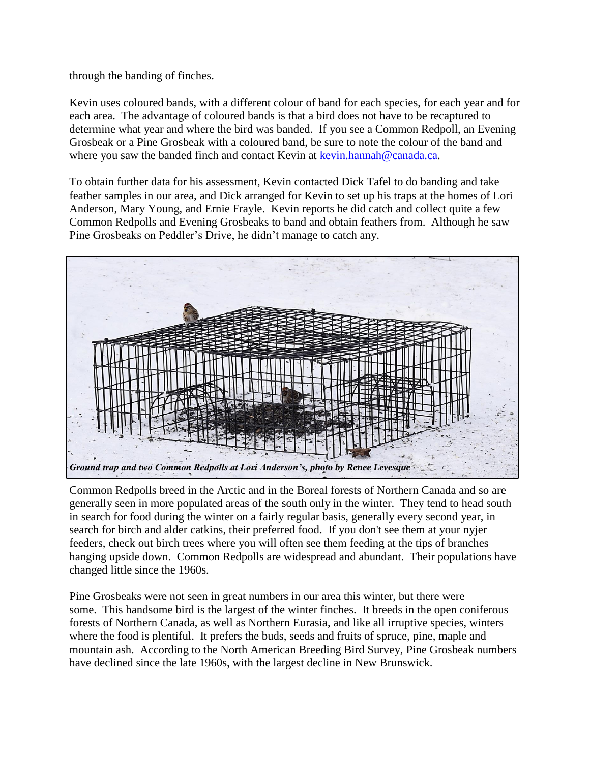through the banding of finches.

Kevin uses coloured bands, with a different colour of band for each species, for each year and for each area. The advantage of coloured bands is that a bird does not have to be recaptured to determine what year and where the bird was banded. If you see a Common Redpoll, an Evening Grosbeak or a Pine Grosbeak with a coloured band, be sure to note the colour of the band and where you saw the banded finch and contact Kevin at [kevin.hannah@canada.ca.](mailto:kevin.hannah@canada.ca)

To obtain further data for his assessment, Kevin contacted Dick Tafel to do banding and take feather samples in our area, and Dick arranged for Kevin to set up his traps at the homes of Lori Anderson, Mary Young, and Ernie Frayle. Kevin reports he did catch and collect quite a few Common Redpolls and Evening Grosbeaks to band and obtain feathers from. Although he saw Pine Grosbeaks on Peddler's Drive, he didn't manage to catch any.



Common Redpolls breed in the Arctic and in the Boreal forests of Northern Canada and so are generally seen in more populated areas of the south only in the winter. They tend to head south in search for food during the winter on a fairly regular basis, generally every second year, in search for birch and alder catkins, their preferred food. If you don't see them at your nyjer feeders, check out birch trees where you will often see them feeding at the tips of branches hanging upside down. Common Redpolls are widespread and abundant. Their populations have changed little since the 1960s.

Pine Grosbeaks were not seen in great numbers in our area this winter, but there were some. This handsome bird is the largest of the winter finches. It breeds in the open coniferous forests of Northern Canada, as well as Northern Eurasia, and like all irruptive species, winters where the food is plentiful. It prefers the buds, seeds and fruits of spruce, pine, maple and mountain ash. According to the North American Breeding Bird Survey, Pine Grosbeak numbers have declined since the late 1960s, with the largest decline in New Brunswick.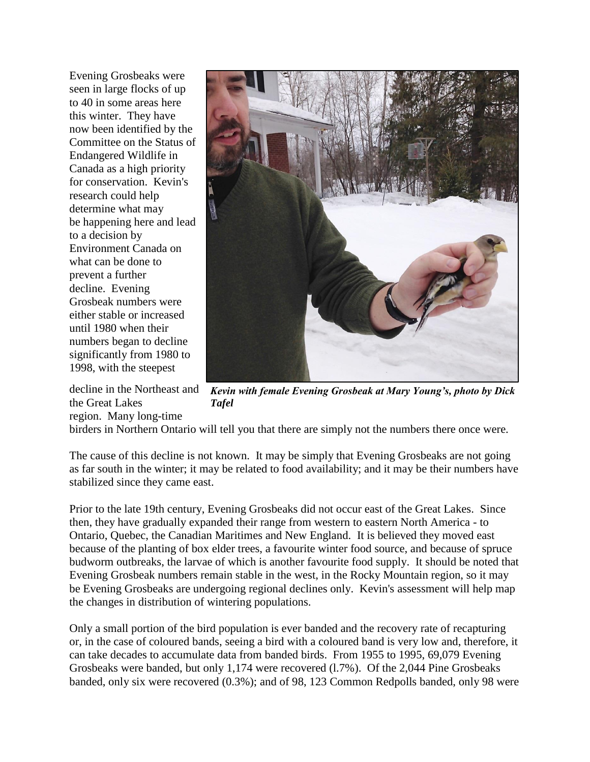Evening Grosbeaks were seen in large flocks of up to 40 in some areas here this winter. They have now been identified by the Committee on the Status of Endangered Wildlife in Canada as a high priority for conservation. Kevin's research could help determine what may be happening here and lead to a decision by Environment Canada on what can be done to prevent a further decline. Evening Grosbeak numbers were either stable or increased until 1980 when their numbers began to decline significantly from 1980 to 1998, with the steepest

the Great Lakes

region. Many long-time



decline in the Northeast and *Kevin with female Evening Grosbeak at Mary Young's, photo by Dick Tafel*

birders in Northern Ontario will tell you that there are simply not the numbers there once were.

The cause of this decline is not known. It may be simply that Evening Grosbeaks are not going as far south in the winter; it may be related to food availability; and it may be their numbers have stabilized since they came east.

Prior to the late 19th century, Evening Grosbeaks did not occur east of the Great Lakes. Since then, they have gradually expanded their range from western to eastern North America - to Ontario, Quebec, the Canadian Maritimes and New England. It is believed they moved east because of the planting of box elder trees, a favourite winter food source, and because of spruce budworm outbreaks, the larvae of which is another favourite food supply. It should be noted that Evening Grosbeak numbers remain stable in the west, in the Rocky Mountain region, so it may be Evening Grosbeaks are undergoing regional declines only. Kevin's assessment will help map the changes in distribution of wintering populations.

Only a small portion of the bird population is ever banded and the recovery rate of recapturing or, in the case of coloured bands, seeing a bird with a coloured band is very low and, therefore, it can take decades to accumulate data from banded birds. From 1955 to 1995, 69,079 Evening Grosbeaks were banded, but only 1,174 were recovered (l.7%). Of the 2,044 Pine Grosbeaks banded, only six were recovered (0.3%); and of 98, 123 Common Redpolls banded, only 98 were